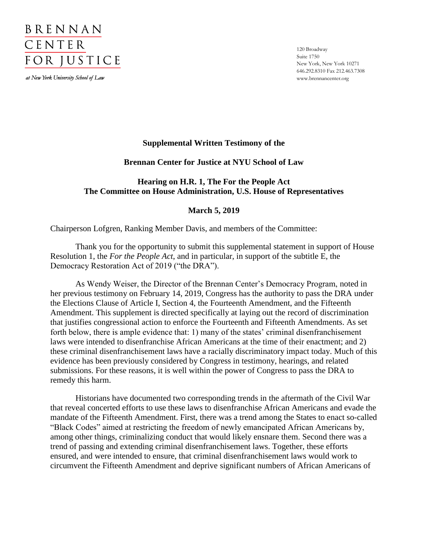

at New York University School of Law

120 Broadway Suite 1750 New York, New York 10271 646.292.8310 Fax 212.463.7308 www.brennancenter.org

## **Supplemental Written Testimony of the**

## **Brennan Center for Justice at NYU School of Law**

# **Hearing on H.R. 1, The For the People Act The Committee on House Administration, U.S. House of Representatives**

## **March 5, 2019**

Chairperson Lofgren, Ranking Member Davis, and members of the Committee:

Thank you for the opportunity to submit this supplemental statement in support of House Resolution 1, the *For the People Act*, and in particular, in support of the subtitle E, the Democracy Restoration Act of 2019 ("the DRA").

As Wendy Weiser, the Director of the Brennan Center's Democracy Program, noted in her previous testimony on February 14, 2019, Congress has the authority to pass the DRA under the Elections Clause of Article I, Section 4, the Fourteenth Amendment, and the Fifteenth Amendment. This supplement is directed specifically at laying out the record of discrimination that justifies congressional action to enforce the Fourteenth and Fifteenth Amendments. As set forth below, there is ample evidence that: 1) many of the states' criminal disenfranchisement laws were intended to disenfranchise African Americans at the time of their enactment; and 2) these criminal disenfranchisement laws have a racially discriminatory impact today. Much of this evidence has been previously considered by Congress in testimony, hearings, and related submissions. For these reasons, it is well within the power of Congress to pass the DRA to remedy this harm.

Historians have documented two corresponding trends in the aftermath of the Civil War that reveal concerted efforts to use these laws to disenfranchise African Americans and evade the mandate of the Fifteenth Amendment. First, there was a trend among the States to enact so-called "Black Codes" aimed at restricting the freedom of newly emancipated African Americans by, among other things, criminalizing conduct that would likely ensnare them. Second there was a trend of passing and extending criminal disenfranchisement laws. Together, these efforts ensured, and were intended to ensure, that criminal disenfranchisement laws would work to circumvent the Fifteenth Amendment and deprive significant numbers of African Americans of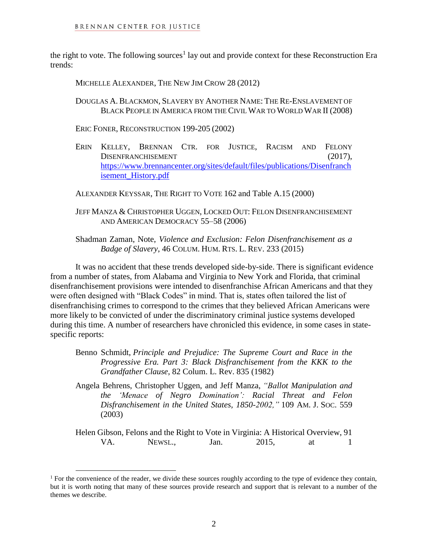the right to vote. The following sources<sup>1</sup> lay out and provide context for these Reconstruction Era trends:

MICHELLE ALEXANDER, THE NEW JIM CROW 28 (2012)

- DOUGLAS A. BLACKMON, SLAVERY BY ANOTHER NAME: THE RE-ENSLAVEMENT OF BLACK PEOPLE IN AMERICA FROM THE CIVIL WAR TO WORLD WAR II (2008)
- ERIC FONER, RECONSTRUCTION 199-205 (2002)
- ERIN KELLEY, BRENNAN CTR. FOR JUSTICE, RACISM AND FELONY DISENFRANCHISEMENT (2017), [https://www.brennancenter.org/sites/default/files/publications/Disenfranch](https://www.brennancenter.org/sites/default/files/publications/Disenfranchisement_History.pdf) [isement\\_History.pdf](https://www.brennancenter.org/sites/default/files/publications/Disenfranchisement_History.pdf)

ALEXANDER KEYSSAR, THE RIGHT TO VOTE 162 and Table A.15 (2000)

JEFF MANZA & CHRISTOPHER UGGEN, LOCKED OUT: FELON DISENFRANCHISEMENT AND AMERICAN DEMOCRACY 55–58 (2006)

Shadman Zaman, Note, *Violence and Exclusion: Felon Disenfranchisement as a Badge of Slavery*, 46 COLUM. HUM. RTS. L. REV. 233 (2015)

It was no accident that these trends developed side-by-side. There is significant evidence from a number of states, from Alabama and Virginia to New York and Florida, that criminal disenfranchisement provisions were intended to disenfranchise African Americans and that they were often designed with "Black Codes" in mind. That is, states often tailored the list of disenfranchising crimes to correspond to the crimes that they believed African Americans were more likely to be convicted of under the discriminatory criminal justice systems developed during this time. A number of researchers have chronicled this evidence, in some cases in statespecific reports:

- Benno Schmidt, *Principle and Prejudice: The Supreme Court and Race in the Progressive Era. Part 3: Black Disfranchisement from the KKK to the Grandfather Clause*, 82 Colum. L. Rev. 835 (1982)
- Angela Behrens, Christopher Uggen, and Jeff Manza, *"Ballot Manipulation and the 'Menace of Negro Domination': Racial Threat and Felon Disfranchisement in the United States, 1850-2002,"* 109 AM. J. SOC. 559 (2003)

Helen Gibson, Felons and the Right to Vote in Virginia: A Historical Overview, 91 VA. NEWSL., Jan. 2015, at 1

 $\overline{a}$ 

<sup>&</sup>lt;sup>1</sup> For the convenience of the reader, we divide these sources roughly according to the type of evidence they contain, but it is worth noting that many of these sources provide research and support that is relevant to a number of the themes we describe.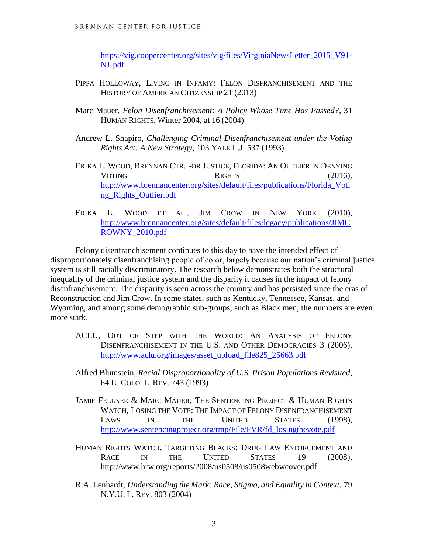[https://vig.coopercenter.org/sites/vig/files/VirginiaNewsLetter\\_2015\\_V91-](https://vig.coopercenter.org/sites/vig/files/VirginiaNewsLetter_2015_V91-N1.pdf) [N1.pdf](https://vig.coopercenter.org/sites/vig/files/VirginiaNewsLetter_2015_V91-N1.pdf)

- PIPPA HOLLOWAY, LIVING IN INFAMY: FELON DISFRANCHISEMENT AND THE HISTORY OF AMERICAN CITIZENSHIP 21 (2013)
- Marc Mauer, *Felon Disenfranchisement: A Policy Whose Time Has Passed?*, 31 HUMAN RIGHTS, Winter 2004, at 16 (2004)
- Andrew L. Shapiro, *Challenging Criminal Disenfranchisement under the Voting Rights Act: A New Strategy*, 103 YALE L.J. 537 (1993)
- ERIKA L. WOOD, BRENNAN CTR. FOR JUSTICE, FLORIDA: AN OUTLIER IN DENYING VOTING RIGHTS (2016), [http://www.brennancenter.org/sites/default/files/publications/Florida\\_Voti](http://www.brennancenter.org/sites/default/files/publications/Florida_Voting_Rights_Outlier.pdf) [ng\\_Rights\\_Outlier.pdf](http://www.brennancenter.org/sites/default/files/publications/Florida_Voting_Rights_Outlier.pdf)
- ERIKA L. WOOD ET AL., JIM CROW IN NEW YORK (2010), [http://www.brennancenter.org/sites/default/files/legacy/publications/JIMC](http://www.brennancenter.org/sites/default/files/legacy/publications/JIMCROWNY_2010.pdf) [ROWNY\\_2010.pdf](http://www.brennancenter.org/sites/default/files/legacy/publications/JIMCROWNY_2010.pdf)

Felony disenfranchisement continues to this day to have the intended effect of disproportionately disenfranchising people of color, largely because our nation's criminal justice system is still racially discriminatory. The research below demonstrates both the structural inequality of the criminal justice system and the disparity it causes in the impact of felony disenfranchisement. The disparity is seen across the country and has persisted since the eras of Reconstruction and Jim Crow. In some states, such as Kentucky, Tennessee, Kansas, and Wyoming, and among some demographic sub-groups, such as Black men, the numbers are even more stark.

- ACLU, OUT OF STEP WITH THE WORLD: AN ANALYSIS OF FELONY DISENFRANCHISEMENT IN THE U.S. AND OTHER DEMOCRACIES 3 (2006), [http://www.aclu.org/images/asset\\_upload\\_file825\\_25663.pdf](http://www.aclu.org/images/asset_upload_file825_25663.pdf)
- Alfred Blumstein, *Racial Disproportionality of U.S. Prison Populations Revisited*, 64 U. COLO. L. REV. 743 (1993)
- JAMIE FELLNER & MARC MAUER, THE SENTENCING PROJECT & HUMAN RIGHTS WATCH, LOSING THE VOTE: THE IMPACT OF FELONY DISENFRANCHISEMENT LAWS IN THE UNITED STATES (1998), [http://www.sentencingproject.org/tmp/File/FVR/fd\\_losingthevote.pdf](http://www.sentencingproject.org/tmp/File/FVR/fd_losingthevote.pdf)
- HUMAN RIGHTS WATCH, TARGETING BLACKS: DRUG LAW ENFORCEMENT AND RACE IN THE UNITED STATES 19 (2008), http://www.hrw.org/reports/2008/us0508/us0508webwcover.pdf
- R.A. Lenhardt, *Understanding the Mark: Race, Stigma, and Equality in Context,* 79 N.Y.U. L. REV. 803 (2004)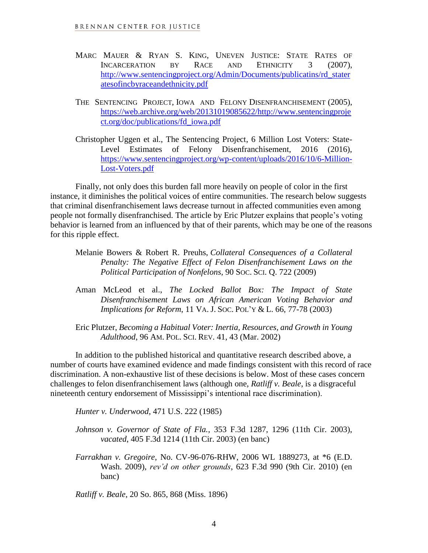- MARC MAUER & RYAN S. KING, UNEVEN JUSTICE: STATE RATES OF INCARCERATION BY RACE AND ETHNICITY 3 (2007), [http://www.sentencingproject.org/Admin/Documents/publicatins/rd\\_stater](http://www.sentencingproject.org/Admin/Documents/publicatins/rd_stateratesofincbyraceandethnicity.pdf) [atesofincbyraceandethnicity.pdf](http://www.sentencingproject.org/Admin/Documents/publicatins/rd_stateratesofincbyraceandethnicity.pdf)
- THE SENTENCING PROJECT, IOWA AND FELONY DISENFRANCHISEMENT (2005), [https://web.archive.org/web/20131019085622/http://www.sentencingproje](https://web.archive.org/web/20131019085622/http:/www.sentencingproject.org/doc/publications/fd_iowa.pdf) [ct.org/doc/publications/fd\\_iowa.pdf](https://web.archive.org/web/20131019085622/http:/www.sentencingproject.org/doc/publications/fd_iowa.pdf)
- Christopher Uggen et al., The Sentencing Project, 6 Million Lost Voters: State-Level Estimates of Felony Disenfranchisement, 2016 (2016), [https://www.sentencingproject.org/wp-content/uploads/2016/10/6-Million-](https://www.sentencingproject.org/wp-content/uploads/2016/10/6-Million-Lost-Voters.pdf)[Lost-Voters.pdf](https://www.sentencingproject.org/wp-content/uploads/2016/10/6-Million-Lost-Voters.pdf)

Finally, not only does this burden fall more heavily on people of color in the first instance, it diminishes the political voices of entire communities. The research below suggests that criminal disenfranchisement laws decrease turnout in affected communities even among people not formally disenfranchised. The article by Eric Plutzer explains that people's voting behavior is learned from an influenced by that of their parents, which may be one of the reasons for this ripple effect.

- Melanie Bowers & Robert R. Preuhs, *Collateral Consequences of a Collateral Penalty: The Negative Effect of Felon Disenfranchisement Laws on the Political Participation of Nonfelons,* 90 SOC. SCI. Q. 722 (2009)
- Aman McLeod et al., *The Locked Ballot Box: The Impact of State Disenfranchisement Laws on African American Voting Behavior and Implications for Reform*, 11 VA. J. SOC. POL'Y & L. 66, 77-78 (2003)

Eric Plutzer, *Becoming a Habitual Voter: Inertia, Resources, and Growth in Young Adulthood*, 96 AM. POL. SCI. REV. 41, 43 (Mar. 2002)

In addition to the published historical and quantitative research described above, a number of courts have examined evidence and made findings consistent with this record of race discrimination. A non-exhaustive list of these decisions is below. Most of these cases concern challenges to felon disenfranchisement laws (although one, *Ratliff v. Beale*, is a disgraceful nineteenth century endorsement of Mississippi's intentional race discrimination).

*Hunter v. Underwood*, 471 U.S. 222 (1985)

- *Johnson v. Governor of State of Fla.*, 353 F.3d 1287, 1296 (11th Cir. 2003), *vacated*, 405 F.3d 1214 (11th Cir. 2003) (en banc)
- *Farrakhan v. Gregoire*, No. CV-96-076-RHW, 2006 WL 1889273, at \*6 (E.D. Wash. 2009), *rev'd on other grounds*, 623 F.3d 990 (9th Cir. 2010) (en banc)

*Ratliff v. Beale*, 20 So. 865, 868 (Miss. 1896)